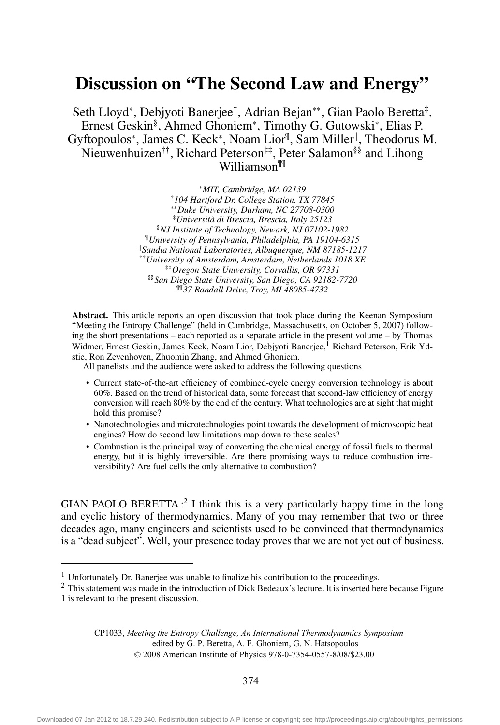## Discussion on "The Second Law and Energy"

Seth Lloyd<sup>∗</sup>, Debiyoti Baneriee<sup>†</sup>, Adrian Beian<sup>∗∗</sup>, Gian Paolo Beretta<sup>‡</sup>, Ernest Geskin§ , Ahmed Ghoniem<sup>∗</sup> , Timothy G. Gutowski<sup>∗</sup> , Elias P. Gyftopoulos<sup>∗</sup>, James C. Keck<sup>∗</sup>, Noam Lior<sup>¶</sup>, Sam Miller<sup>∥</sup>, Theodorus M. Nieuwenhuizen††, Richard Peterson‡‡, Peter Salamon§§ and Lihong Williamson¶¶

> <sup>∗</sup>*MIT, Cambridge, MA 02139* †*104 Hartford Dr, College Station, TX 77845* ∗∗*Duke University, Durham, NC 27708-0300* ‡*Università di Brescia, Brescia, Italy 25123* §*NJ Institute of Technology, Newark, NJ 07102-1982* ¶*University of Pennsylvania, Philadelphia, PA 19104-6315* /*Sandia National Laboratories, Albuquerque, NM 87185-1217* ††*University of Amsterdam, Amsterdam, Netherlands 1018 XE* ‡‡*Oregon State University, Corvallis, OR 97331* §§*San Diego State University, San Diego, CA 92182-7720* ¶¶*37 Randall Drive, Troy, MI 48085-4732*

Abstract. This article reports an open discussion that took place during the Keenan Symposium "Meeting the Entropy Challenge" (held in Cambridge, Massachusetts, on October 5, 2007) following the short presentations – each reported as a separate article in the present volume – by Thomas Widmer, Ernest Geskin, James Keck, Noam Lior, Debjyoti Banerjee,<sup>1</sup> Richard Peterson, Erik Ydstie, Ron Zevenhoven, Zhuomin Zhang, and Ahmed Ghoniem.

All panelists and the audience were asked to address the following questions

- Current state-of-the-art efficiency of combined-cycle energy conversion technology is about 60%. Based on the trend of historical data, some forecast that second-law efficiency of energy conversion will reach 80% by the end of the century. What technologies are at sight that might hold this promise?
- Nanotechnologies and microtechnologies point towards the development of microscopic heat engines? How do second law limitations map down to these scales?
- Combustion is the principal way of converting the chemical energy of fossil fuels to thermal energy, but it is highly irreversible. Are there promising ways to reduce combustion irreversibility? Are fuel cells the only alternative to combustion?

GIAN PAOLO BERETTA:<sup>2</sup> I think this is a very particularly happy time in the long and cyclic history of thermodynamics. Many of you may remember that two or three decades ago, many engineers and scientists used to be convinced that thermodynamics is a "dead subject". Well, your presence today proves that we are not yet out of business.

CP1033, *Meeting the Entropy Challenge, An International Thermodynamics Symposium* edited by G. P. Beretta, A. F. Ghoniem, G. N. Hatsopoulos © 2008 American Institute of Physics 978-0-7354-0557-8/08/\$23.00

374

<sup>&</sup>lt;sup>1</sup> Unfortunately Dr. Banerjee was unable to finalize his contribution to the proceedings.

<sup>2</sup> This statement was made in the introduction of Dick Bedeaux's lecture. It is inserted here because Figure

<sup>1</sup> is relevant to the present discussion.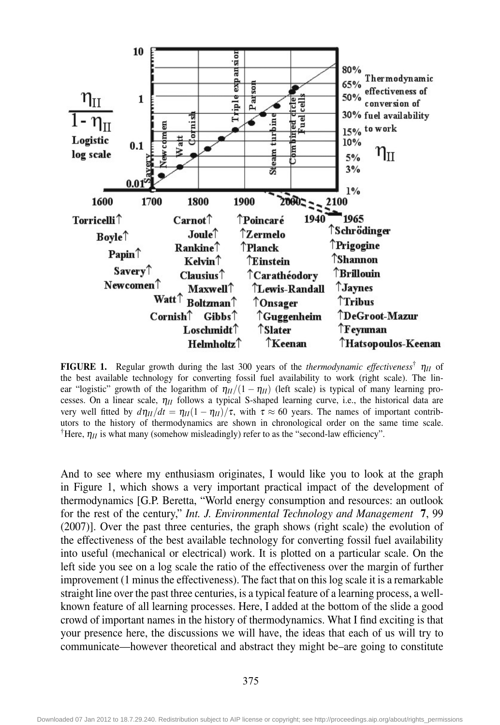

**FIGURE 1.** Regular growth during the last 300 years of the *thermodynamic effectiveness*<sup>†</sup>  $\eta_{II}$  of the best available technology for converting fossil fuel availability to work (right scale). The linear "logistic" growth of the logarithm of  $\eta_{II}/(1 - \eta_{II})$  (left scale) is typical of many learning processes. On a linear scale, η*II* follows a typical S-shaped learning curve, i.e., the historical data are very well fitted by  $d\eta_{II}/dt = \eta_{II}(1 - \eta_{II})/\tau$ , with  $\tau \approx 60$  years. The names of important contributors to the history of thermodynamics are shown in chronological order on the same time scale. <sup>†</sup>Here,  $\eta_{II}$  is what many (somehow misleadingly) refer to as the "second-law efficiency".

And to see where my enthusiasm originates, I would like you to look at the graph in Figure 1, which shows a very important practical impact of the development of thermodynamics [G.P. Beretta, "World energy consumption and resources: an outlook for the rest of the century," *Int. J. Environmental Technology and Management* 7, 99 (2007)]. Over the past three centuries, the graph shows (right scale) the evolution of the effectiveness of the best available technology for converting fossil fuel availability into useful (mechanical or electrical) work. It is plotted on a particular scale. On the left side you see on a log scale the ratio of the effectiveness over the margin of further improvement (1 minus the effectiveness). The fact that on this log scale it is a remarkable straight line over the past three centuries, is a typical feature of a learning process, a wellknown feature of all learning processes. Here, I added at the bottom of the slide a good crowd of important names in the history of thermodynamics. What I find exciting is that your presence here, the discussions we will have, the ideas that each of us will try to communicate—however theoretical and abstract they might be–are going to constitute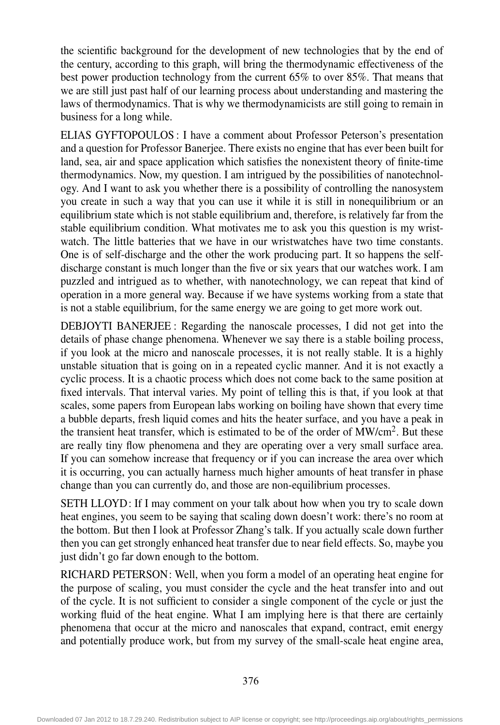the scientific background for the development of new technologies that by the end of the century, according to this graph, will bring the thermodynamic effectiveness of the best power production technology from the current 65% to over 85%. That means that we are still just past half of our learning process about understanding and mastering the laws of thermodynamics. That is why we thermodynamicists are still going to remain in business for a long while.

ELIAS GYFTOPOULOS : I have a comment about Professor Peterson's presentation and a question for Professor Banerjee. There exists no engine that has ever been built for land, sea, air and space application which satisfies the nonexistent theory of finite-time thermodynamics. Now, my question. I am intrigued by the possibilities of nanotechnology. And I want to ask you whether there is a possibility of controlling the nanosystem you create in such a way that you can use it while it is still in nonequilibrium or an equilibrium state which is not stable equilibrium and, therefore, is relatively far from the stable equilibrium condition. What motivates me to ask you this question is my wristwatch. The little batteries that we have in our wristwatches have two time constants. One is of self-discharge and the other the work producing part. It so happens the selfdischarge constant is much longer than the five or six years that our watches work. I am puzzled and intrigued as to whether, with nanotechnology, we can repeat that kind of operation in a more general way. Because if we have systems working from a state that is not a stable equilibrium, for the same energy we are going to get more work out.

DEBJOYTI BANERJEE : Regarding the nanoscale processes, I did not get into the details of phase change phenomena. Whenever we say there is a stable boiling process, if you look at the micro and nanoscale processes, it is not really stable. It is a highly unstable situation that is going on in a repeated cyclic manner. And it is not exactly a cyclic process. It is a chaotic process which does not come back to the same position at fixed intervals. That interval varies. My point of telling this is that, if you look at that scales, some papers from European labs working on boiling have shown that every time a bubble departs, fresh liquid comes and hits the heater surface, and you have a peak in the transient heat transfer, which is estimated to be of the order of  $\text{MW/cm}^2$ . But these are really tiny flow phenomena and they are operating over a very small surface area. If you can somehow increase that frequency or if you can increase the area over which it is occurring, you can actually harness much higher amounts of heat transfer in phase change than you can currently do, and those are non-equilibrium processes.

SETH LLOYD: If I may comment on your talk about how when you try to scale down heat engines, you seem to be saying that scaling down doesn't work: there's no room at the bottom. But then I look at Professor Zhang's talk. If you actually scale down further then you can get strongly enhanced heat transfer due to near field effects. So, maybe you just didn't go far down enough to the bottom.

RICHARD PETERSON: Well, when you form a model of an operating heat engine for the purpose of scaling, you must consider the cycle and the heat transfer into and out of the cycle. It is not sufficient to consider a single component of the cycle or just the working fluid of the heat engine. What I am implying here is that there are certainly phenomena that occur at the micro and nanoscales that expand, contract, emit energy and potentially produce work, but from my survey of the small-scale heat engine area,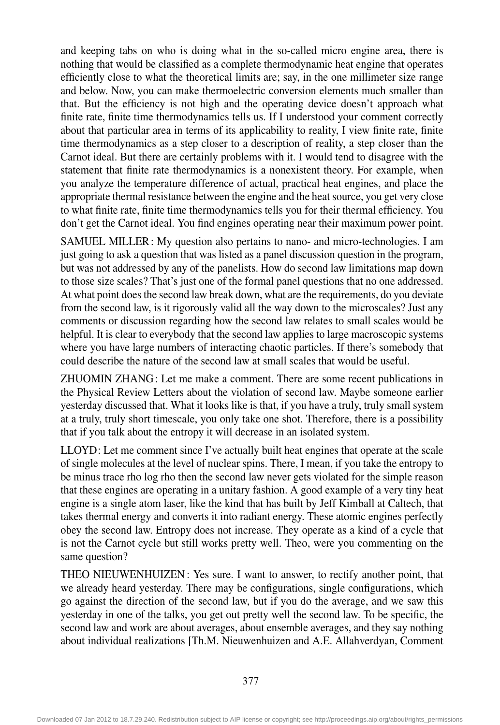and keeping tabs on who is doing what in the so-called micro engine area, there is nothing that would be classified as a complete thermodynamic heat engine that operates efficiently close to what the theoretical limits are; say, in the one millimeter size range and below. Now, you can make thermoelectric conversion elements much smaller than that. But the efficiency is not high and the operating device doesn't approach what finite rate, finite time thermodynamics tells us. If I understood your comment correctly about that particular area in terms of its applicability to reality, I view finite rate, finite time thermodynamics as a step closer to a description of reality, a step closer than the Carnot ideal. But there are certainly problems with it. I would tend to disagree with the statement that finite rate thermodynamics is a nonexistent theory. For example, when you analyze the temperature difference of actual, practical heat engines, and place the appropriate thermal resistance between the engine and the heatsource, you get very close to what finite rate, finite time thermodynamics tells you for their thermal efficiency. You don't get the Carnot ideal. You find engines operating near their maximum power point.

SAMUEL MILLER: My question also pertains to nano- and micro-technologies. I am just going to ask a question that was listed as a panel discussion question in the program, but was not addressed by any of the panelists. How do second law limitations map down to those size scales? That's just one of the formal panel questions that no one addressed. At what point does the second law break down, what are the requirements, do you deviate from the second law, is it rigorously valid all the way down to the microscales? Just any comments or discussion regarding how the second law relates to small scales would be helpful. It is clear to everybody that the second law applies to large macroscopic systems where you have large numbers of interacting chaotic particles. If there's somebody that could describe the nature of the second law at small scales that would be useful.

ZHUOMIN ZHANG: Let me make a comment. There are some recent publications in the Physical Review Letters about the violation of second law. Maybe someone earlier yesterday discussed that. What it looks like is that, if you have a truly, truly small system at a truly, truly short timescale, you only take one shot. Therefore, there is a possibility that if you talk about the entropy it will decrease in an isolated system.

LLOYD: Let me comment since I've actually built heat engines that operate at the scale of single molecules at the level of nuclear spins. There, I mean, if you take the entropy to be minus trace rho log rho then the second law never gets violated for the simple reason that these engines are operating in a unitary fashion. A good example of a very tiny heat engine is a single atom laser, like the kind that has built by Jeff Kimball at Caltech, that takes thermal energy and converts it into radiant energy. These atomic engines perfectly obey the second law. Entropy does not increase. They operate as a kind of a cycle that is not the Carnot cycle but still works pretty well. Theo, were you commenting on the same question?

THEO NIEUWENHUIZEN : Yes sure. I want to answer, to rectify another point, that we already heard yesterday. There may be configurations, single configurations, which go against the direction of the second law, but if you do the average, and we saw this yesterday in one of the talks, you get out pretty well the second law. To be specific, the second law and work are about averages, about ensemble averages, and they say nothing about individual realizations [Th.M. Nieuwenhuizen and A.E. Allahverdyan, Comment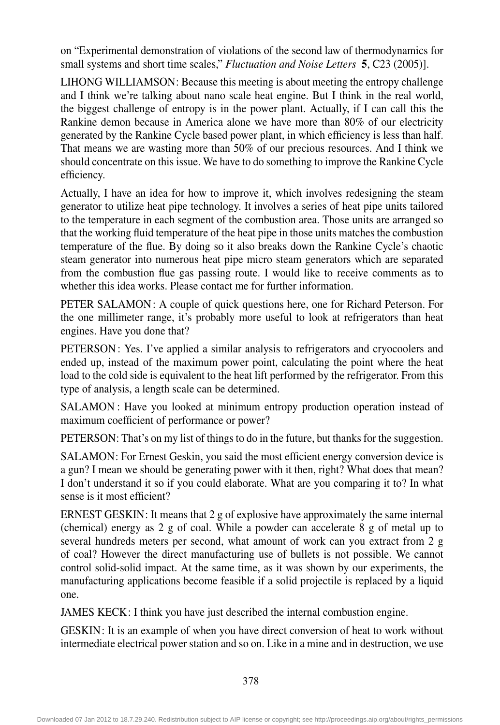on "Experimental demonstration of violations of the second law of thermodynamics for small systems and short time scales," *Fluctuation and Noise Letters* 5, C23 (2005)].

LIHONG WILLIAMSON: Because this meeting is about meeting the entropy challenge and I think we're talking about nano scale heat engine. But I think in the real world, the biggest challenge of entropy is in the power plant. Actually, if I can call this the Rankine demon because in America alone we have more than 80% of our electricity generated by the Rankine Cycle based power plant, in which efficiency is less than half. That means we are wasting more than 50% of our precious resources. And I think we should concentrate on this issue. We have to do something to improve the Rankine Cycle efficiency.

Actually,Ihave an idea for how to improve it, which involves redesigning the steam generator to utilize heat pipe technology. It involves a series of heat pipe units tailored to the temperature in each segment of the combustion area. Those units are arranged so that the working fluid temperature of the heat pipe in those units matches the combustion temperature of the flue. By doing so it also breaks down the Rankine Cycle's chaotic steam generator into numerous heat pipe micro steam generators which are separated from the combustion flue gas passing route. I would like to receive comments as to whether this idea works. Please contact me for further information.

PETER SALAMON: A couple of quick questions here, one for Richard Peterson. For the one millimeter range, it's probably more useful to look at refrigerators than heat engines. Have you done that?

PETERSON : Yes. I've applied a similar analysis to refrigerators and cryocoolers and ended up, instead of the maximum power point, calculating the point where the heat load to the cold side is equivalent to the heat lift performed by the refrigerator. From this type of analysis, a length scale can be determined.

SALAMON : Have you looked at minimum entropy production operation instead of maximum coefficient of performance or power?

PETERSON: That's on my list of things to do in the future, but thanks for the suggestion.

SALAMON: For Ernest Geskin, you said the most efficient energy conversion device is a gun? I mean we should be generating power with it then, right? What does that mean? I don't understand it so if you could elaborate. What are you comparing it to? In what sense is it most efficient?

ERNEST GESKIN: It means that  $2g$  of explosive have approximately the same internal (chemical) energy as  $2 \text{ g}$  of coal. While a powder can accelerate  $8 \text{ g}$  of metal up to several hundreds meters per second, what amount of work can you extract from 2 g of coal? However the direct manufacturing use of bullets is not possible. We cannot control solid-solid impact. At the same time, as it was shown by our experiments, the manufacturing applications become feasible if a solid projectile is replaced by a liquid one.

JAMES KECK: I think you have just described the internal combustion engine.

GESKIN: It is an example of when you have direct conversion of heat to work without intermediate electrical power station and so on. Like in a mine and in destruction, we use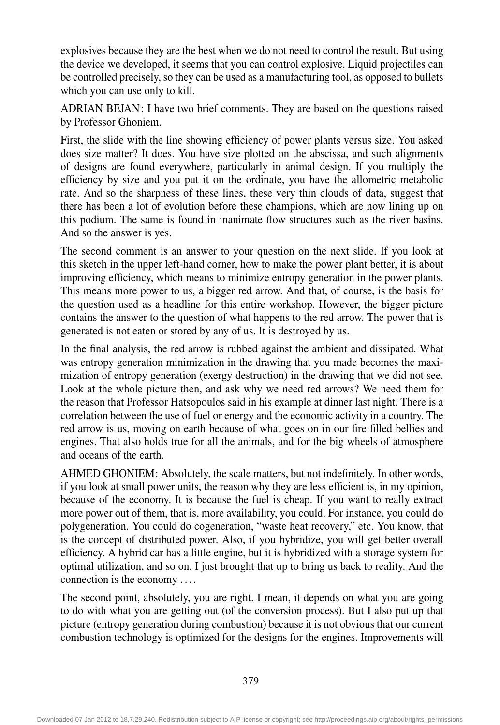explosives because they are the best when we do not need to control the result. But using the device we developed, it seems that you can control explosive. Liquid projectiles can be controlled precisely, so they can be used as a manufacturing tool, as opposed to bullets which you can use only to kill.

ADRIAN BEJAN: I have two brief comments. They are based on the questions raised by Professor Ghoniem.

First, the slide with the line showing efficiency of power plants versus size. You asked does size matter? It does. You have size plotted on the abscissa, and such alignments of designs are found everywhere, particularly in animal design. If you multiply the efficiency by size and you put it on the ordinate, you have the allometric metabolic rate. And so the sharpness of these lines, these very thin clouds of data, suggest that there has been a lot of evolution before these champions, which are now lining up on this podium. The same is found in inanimate flow structures such as the river basins. And so the answer is yes.

The second comment is an answer to your question on the next slide. If you look at this sketch in the upper left-hand corner, how to make the power plant better, it is about improving efficiency, which means to minimize entropy generation in the power plants. This means more power to us, a bigger red arrow. And that, of course, is the basis for the question used as a headline for this entire workshop. However, the bigger picture contains the answer to the question of what happens to the red arrow. The power that is generated is not eaten or stored by any of us. It is destroyed by us.

In the final analysis, the red arrow is rubbed against the ambient and dissipated. What was entropy generation minimization in the drawing that you made becomes the maximization of entropy generation (exergy destruction) in the drawing that we did not see. Look at the whole picture then, and ask why we need red arrows? We need them for the reason that Professor Hatsopoulos said in his example at dinner last night. There is a correlation between the use of fuel or energy and the economic activity in a country. The red arrow is us, moving on earth because of what goes on in our fire filled bellies and engines. That also holds true for all the animals, and for the big wheels of atmosphere and oceans of the earth.

AHMED GHONIEM: Absolutely, the scale matters, but not indefinitely. In other words, if you look at small power units, the reason why they are less efficient is, in my opinion, because of the economy. It is because the fuel is cheap. If you want to really extract more power out of them, that is, more availability, you could. For instance, you could do polygeneration. You could do cogeneration, "waste heat recovery," etc. You know, that is the concept of distributed power. Also, if you hybridize, you will get better overall efficiency. A hybrid car has a little engine, but it is hybridized with a storage system for optimal utilization, and so on. I just brought that up to bring us back to reality. And the connection is the economy ....

The second point, absolutely, you are right. I mean, it depends on what you are going to do with what you are getting out (of the conversion process). But I also put up that picture (entropy generation during combustion) because it is not obvious that our current combustion technology is optimized for the designs for the engines. Improvements will